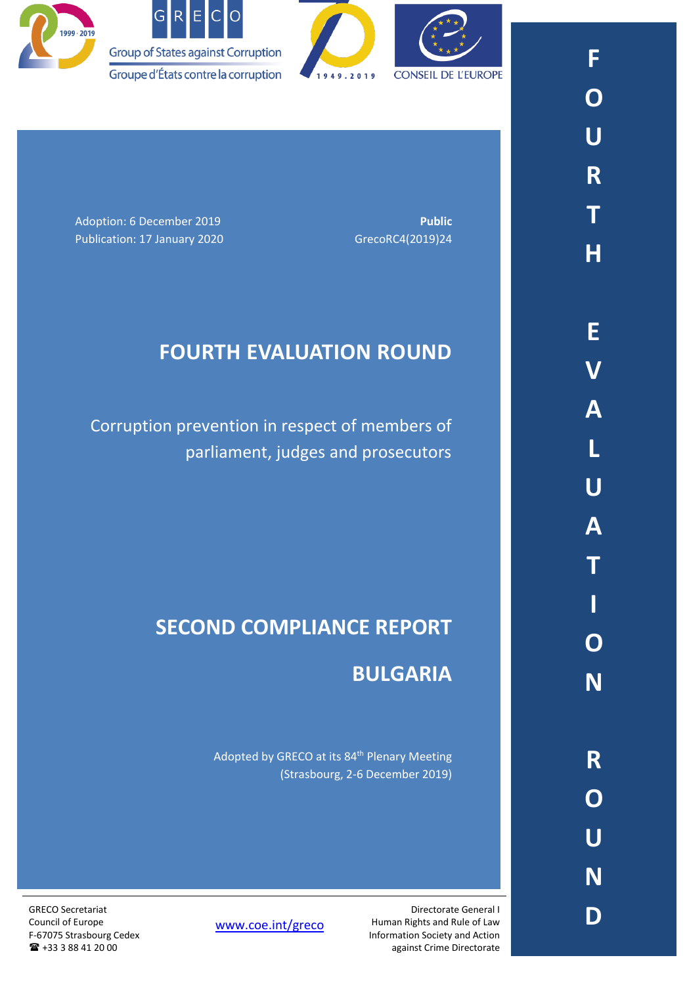



Adoption: 6 December 2019 **Public Public Public** Publication: 17 January 2020 GrecoRC4(2019)24

# **FOURTH EVALUATION ROUND**

Corruption prevention in respect of members of parliament, judges and prosecutors

# **SECOND COMPLIANCE REPORT**

## **BULGARIA**

Adopted by GRECO at its 84<sup>th</sup> Plenary Meeting (Strasbourg, 2-6 December 2019)

GRECO Secretariat Council of Europe F-67075 Strasbourg Cedex

+33 3 88 41 20 00

[www.coe.int/greco](http://www.coe.int/greco)

Directorate General I Human Rights and Rule of Law Information Society and Action against Crime Directorate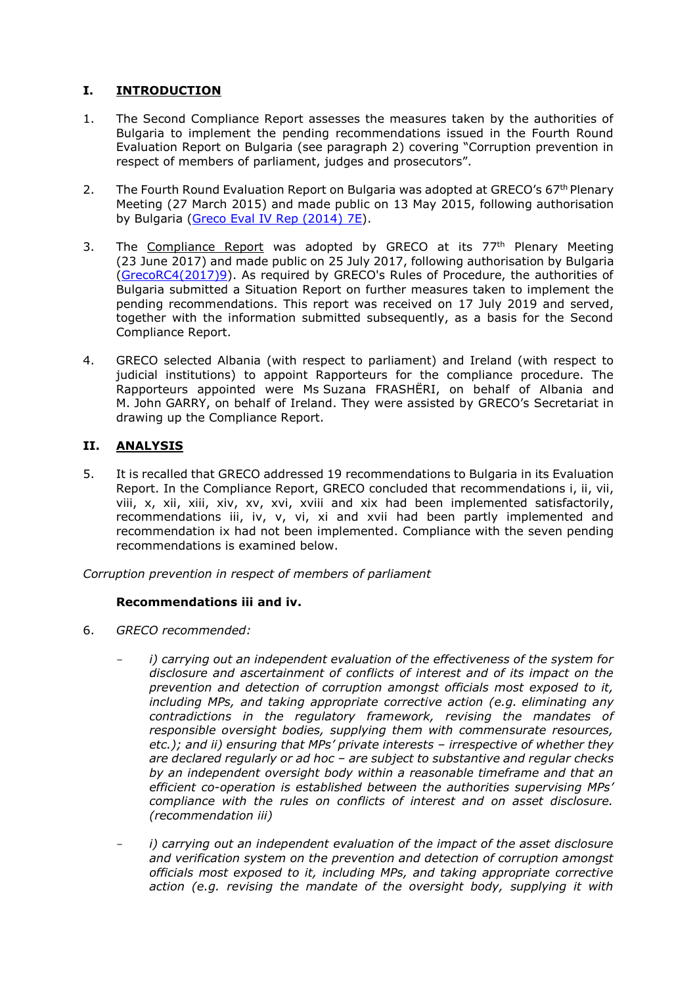## **I. INTRODUCTION**

- 1. The Second Compliance Report assesses the measures taken by the authorities of Bulgaria to implement the pending recommendations issued in the Fourth Round Evaluation Report on Bulgaria (see paragraph 2) covering "Corruption prevention in respect of members of parliament, judges and prosecutors".
- 2. The Fourth Round Evaluation Report on Bulgaria was adopted at GRECO's 67<sup>th</sup> Plenary Meeting (27 March 2015) and made public on 13 May 2015, following authorisation by Bulgaria [\(Greco Eval IV Rep \(2014\)](https://rm.coe.int/CoERMPublicCommonSearchServices/DisplayDCTMContent?documentId=09000016806c983f) 7E).
- 3. The Compliance Report was adopted by GRECO at its 77<sup>th</sup> Plenary Meeting (23 June 2017) and made public on 25 July 2017, following authorisation by Bulgaria [\(GrecoRC4\(2017\)9\)](https://rm.coe.int/fourth-evaluation-round-corruption-prevention-in-respect-of-members-of/16807342c8). As required by GRECO's Rules of Procedure, the authorities of Bulgaria submitted a Situation Report on further measures taken to implement the pending recommendations. This report was received on 17 July 2019 and served, together with the information submitted subsequently, as a basis for the Second Compliance Report.
- 4. GRECO selected Albania (with respect to parliament) and Ireland (with respect to judicial institutions) to appoint Rapporteurs for the compliance procedure. The Rapporteurs appointed were Ms Suzana FRASHËRI, on behalf of Albania and M. John GARRY, on behalf of Ireland. They were assisted by GRECO's Secretariat in drawing up the Compliance Report.

### **II. ANALYSIS**

5. It is recalled that GRECO addressed 19 recommendations to Bulgaria in its Evaluation Report. In the Compliance Report, GRECO concluded that recommendations i, ii, vii, viii, x, xii, xiii, xiv, xv, xvi, xviii and xix had been implemented satisfactorily, recommendations iii, iv, v, vi, xi and xvii had been partly implemented and recommendation ix had not been implemented. Compliance with the seven pending recommendations is examined below.

*Corruption prevention in respect of members of parliament*

#### **Recommendations iii and iv.**

- 6. *GRECO recommended:*
	- *i) carrying out an independent evaluation of the effectiveness of the system for disclosure and ascertainment of conflicts of interest and of its impact on the prevention and detection of corruption amongst officials most exposed to it, including MPs, and taking appropriate corrective action (e.g. eliminating any contradictions in the regulatory framework, revising the mandates of responsible oversight bodies, supplying them with commensurate resources, etc.); and ii) ensuring that MPs' private interests – irrespective of whether they are declared regularly or ad hoc – are subject to substantive and regular checks by an independent oversight body within a reasonable timeframe and that an efficient co-operation is established between the authorities supervising MPs' compliance with the rules on conflicts of interest and on asset disclosure. (recommendation iii)*
	- *i*) carrying out an independent evaluation of the impact of the asset disclosure *and verification system on the prevention and detection of corruption amongst officials most exposed to it, including MPs, and taking appropriate corrective action (e.g. revising the mandate of the oversight body, supplying it with*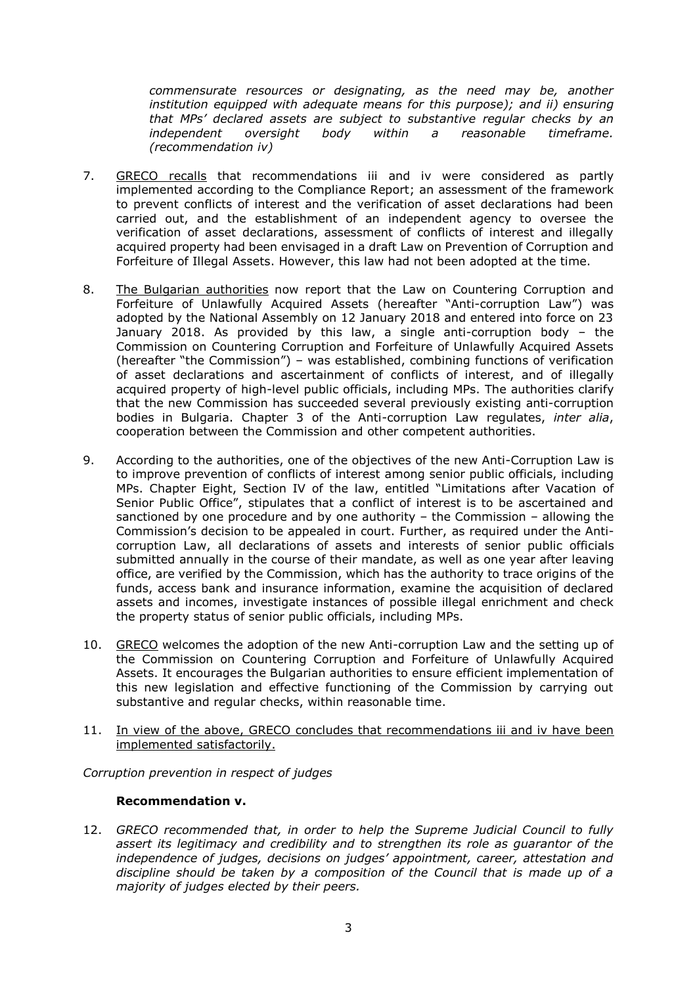*commensurate resources or designating, as the need may be, another institution equipped with adequate means for this purpose); and ii) ensuring that MPs' declared assets are subject to substantive regular checks by an independent oversight body within a reasonable timeframe. (recommendation iv)*

- 7. GRECO recalls that recommendations iii and iv were considered as partly implemented according to the Compliance Report; an assessment of the framework to prevent conflicts of interest and the verification of asset declarations had been carried out, and the establishment of an independent agency to oversee the verification of asset declarations, assessment of conflicts of interest and illegally acquired property had been envisaged in a draft Law on Prevention of Corruption and Forfeiture of Illegal Assets. However, this law had not been adopted at the time.
- 8. The Bulgarian authorities now report that the Law on Countering Corruption and Forfeiture of Unlawfully Acquired Assets (hereafter "Anti-corruption Law") was adopted by the National Assembly on 12 January 2018 and entered into force on 23 January 2018. As provided by this law, a single anti-corruption body – the Commission on Countering Corruption and Forfeiture of Unlawfully Acquired Assets (hereafter "the Commission") – was established, combining functions of verification of asset declarations and ascertainment of conflicts of interest, and of illegally acquired property of high-level public officials, including MPs. The authorities clarify that the new Commission has succeeded several previously existing anti-corruption bodies in Bulgaria. Chapter 3 of the Anti-corruption Law regulates, *inter alia*, cooperation between the Commission and other competent authorities.
- 9. According to the authorities, one of the objectives of the new Anti-Corruption Law is to improve prevention of conflicts of interest among senior public officials, including MPs. Chapter Eight, Section IV of the law, entitled "Limitations after Vacation of Senior Public Office", stipulates that a conflict of interest is to be ascertained and sanctioned by one procedure and by one authority – the Commission – allowing the Commission's decision to be appealed in court. Further, as required under the Anticorruption Law, all declarations of assets and interests of senior public officials submitted annually in the course of their mandate, as well as one year after leaving office, are verified by the Commission, which has the authority to trace origins of the funds, access bank and insurance information, examine the acquisition of declared assets and incomes, investigate instances of possible illegal enrichment and check the property status of senior public officials, including MPs.
- 10. GRECO welcomes the adoption of the new Anti-corruption Law and the setting up of the Commission on Countering Corruption and Forfeiture of Unlawfully Acquired Assets. It encourages the Bulgarian authorities to ensure efficient implementation of this new legislation and effective functioning of the Commission by carrying out substantive and regular checks, within reasonable time.
- 11. In view of the above, GRECO concludes that recommendations iii and iv have been implemented satisfactorily.

*Corruption prevention in respect of judges*

#### **Recommendation v.**

12. *GRECO recommended that, in order to help the Supreme Judicial Council to fully assert its legitimacy and credibility and to strengthen its role as guarantor of the independence of judges, decisions on judges' appointment, career, attestation and discipline should be taken by a composition of the Council that is made up of a majority of judges elected by their peers.*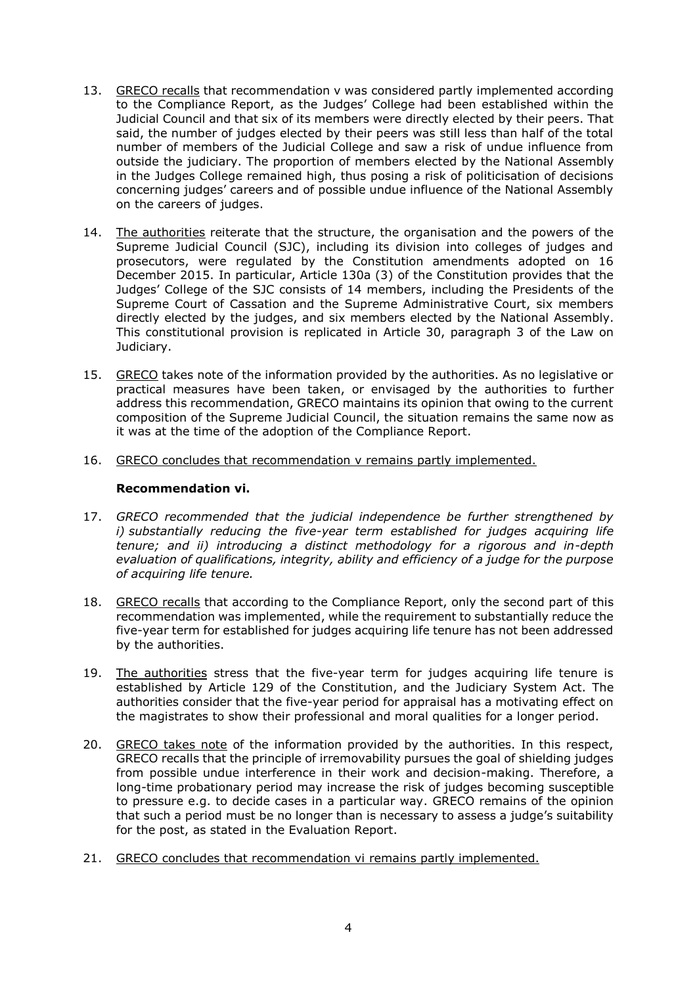- 13. GRECO recalls that recommendation v was considered partly implemented according to the Compliance Report, as the Judges' College had been established within the Judicial Council and that six of its members were directly elected by their peers. That said, the number of judges elected by their peers was still less than half of the total number of members of the Judicial College and saw a risk of undue influence from outside the judiciary. The proportion of members elected by the National Assembly in the Judges College remained high, thus posing a risk of politicisation of decisions concerning judges' careers and of possible undue influence of the National Assembly on the careers of judges.
- 14. The authorities reiterate that the structure, the organisation and the powers of the Supreme Judicial Council (SJC), including its division into colleges of judges and prosecutors, were regulated by the Constitution amendments adopted on 16 December 2015. In particular, Article 130a (3) of the Constitution provides that the Judges' College of the SJC consists of 14 members, including the Presidents of the Supreme Court of Cassation and the Supreme Administrative Court, six members directly elected by the judges, and six members elected by the National Assembly. This constitutional provision is replicated in Article 30, paragraph 3 of the Law on Judiciary.
- 15. GRECO takes note of the information provided by the authorities. As no legislative or practical measures have been taken, or envisaged by the authorities to further address this recommendation, GRECO maintains its opinion that owing to the current composition of the Supreme Judicial Council, the situation remains the same now as it was at the time of the adoption of the Compliance Report.
- 16. GRECO concludes that recommendation v remains partly implemented.

#### **Recommendation vi.**

- 17. *GRECO recommended that the judicial independence be further strengthened by i) substantially reducing the five-year term established for judges acquiring life tenure; and ii) introducing a distinct methodology for a rigorous and in-depth evaluation of qualifications, integrity, ability and efficiency of a judge for the purpose of acquiring life tenure.*
- 18. GRECO recalls that according to the Compliance Report, only the second part of this recommendation was implemented, while the requirement to substantially reduce the five-year term for established for judges acquiring life tenure has not been addressed by the authorities.
- 19. The authorities stress that the five-year term for judges acquiring life tenure is established by Article 129 of the Constitution, and the Judiciary System Act. The authorities consider that the five-year period for appraisal has a motivating effect on the magistrates to show their professional and moral qualities for a longer period.
- 20. GRECO takes note of the information provided by the authorities. In this respect, GRECO recalls that the principle of irremovability pursues the goal of shielding judges from possible undue interference in their work and decision-making. Therefore, a long-time probationary period may increase the risk of judges becoming susceptible to pressure e.g. to decide cases in a particular way. GRECO remains of the opinion that such a period must be no longer than is necessary to assess a judge's suitability for the post, as stated in the Evaluation Report.
- 21. GRECO concludes that recommendation vi remains partly implemented.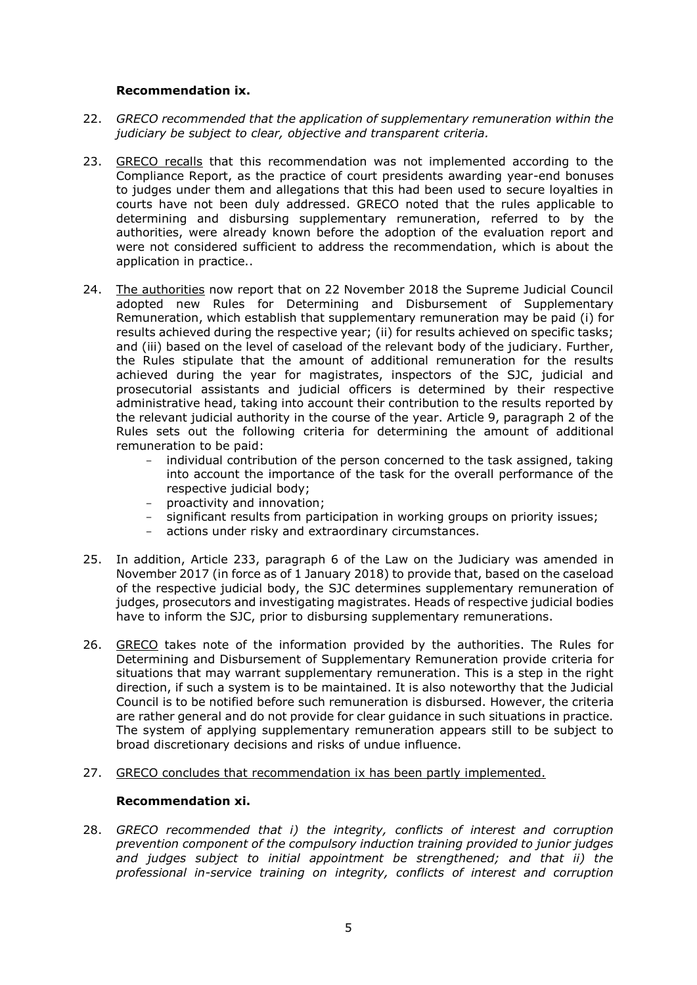#### **Recommendation ix.**

- 22. *GRECO recommended that the application of supplementary remuneration within the judiciary be subject to clear, objective and transparent criteria.*
- 23. GRECO recalls that this recommendation was not implemented according to the Compliance Report, as the practice of court presidents awarding year-end bonuses to judges under them and allegations that this had been used to secure loyalties in courts have not been duly addressed. GRECO noted that the rules applicable to determining and disbursing supplementary remuneration, referred to by the authorities, were already known before the adoption of the evaluation report and were not considered sufficient to address the recommendation, which is about the application in practice..
- 24. The authorities now report that on 22 November 2018 the Supreme Judicial Council adopted new Rules for Determining and Disbursement of Supplementary Remuneration, which establish that supplementary remuneration may be paid (i) for results achieved during the respective year; (ii) for results achieved on specific tasks; and (iii) based on the level of caseload of the relevant body of the judiciary. Further, the Rules stipulate that the amount of additional remuneration for the results achieved during the year for magistrates, inspectors of the SJC, judicial and prosecutorial assistants and judicial officers is determined by their respective administrative head, taking into account their contribution to the results reported by the relevant judicial authority in the course of the year. Article 9, paragraph 2 of the Rules sets out the following criteria for determining the amount of additional remuneration to be paid:
	- individual contribution of the person concerned to the task assigned, taking into account the importance of the task for the overall performance of the respective judicial body;
	- proactivity and innovation;
	- significant results from participation in working groups on priority issues;<br>- actions under risky and extraordinary circumstances.
	- actions under risky and extraordinary circumstances.
- 25. In addition, Article 233, paragraph 6 of the Law on the Judiciary was amended in November 2017 (in force as of 1 January 2018) to provide that, based on the caseload of the respective judicial body, the SJC determines supplementary remuneration of judges, prosecutors and investigating magistrates. Heads of respective judicial bodies have to inform the SJC, prior to disbursing supplementary remunerations.
- 26. GRECO takes note of the information provided by the authorities. The Rules for Determining and Disbursement of Supplementary Remuneration provide criteria for situations that may warrant supplementary remuneration. This is a step in the right direction, if such a system is to be maintained. It is also noteworthy that the Judicial Council is to be notified before such remuneration is disbursed. However, the criteria are rather general and do not provide for clear guidance in such situations in practice. The system of applying supplementary remuneration appears still to be subject to broad discretionary decisions and risks of undue influence.
- 27. GRECO concludes that recommendation ix has been partly implemented.

#### **Recommendation xi.**

28. *GRECO recommended that i) the integrity, conflicts of interest and corruption prevention component of the compulsory induction training provided to junior judges and judges subject to initial appointment be strengthened; and that ii) the professional in-service training on integrity, conflicts of interest and corruption*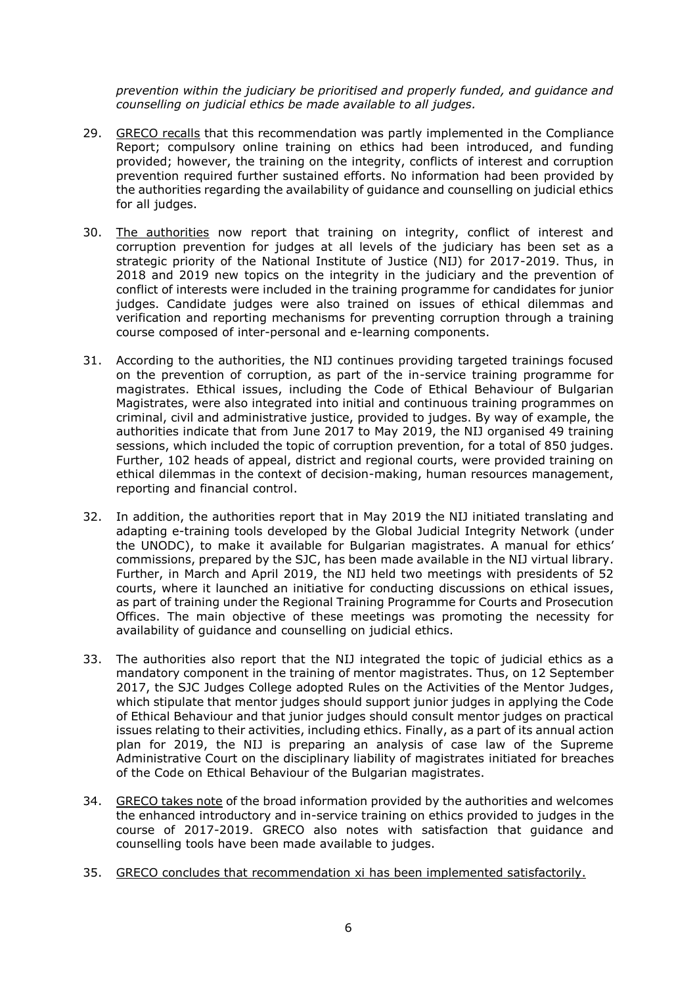*prevention within the judiciary be prioritised and properly funded, and guidance and counselling on judicial ethics be made available to all judges.*

- 29. GRECO recalls that this recommendation was partly implemented in the Compliance Report; compulsory online training on ethics had been introduced, and funding provided; however, the training on the integrity, conflicts of interest and corruption prevention required further sustained efforts. No information had been provided by the authorities regarding the availability of guidance and counselling on judicial ethics for all judges.
- 30. The authorities now report that training on integrity, conflict of interest and corruption prevention for judges at all levels of the judiciary has been set as a strategic priority of the National Institute of Justice (NIJ) for 2017-2019. Thus, in 2018 and 2019 new topics on the integrity in the judiciary and the prevention of conflict of interests were included in the training programme for candidates for junior judges. Candidate judges were also trained on issues of ethical dilemmas and verification and reporting mechanisms for preventing corruption through a training course composed of inter-personal and e-learning components.
- 31. According to the authorities, the NIJ continues providing targeted trainings focused on the prevention of corruption, as part of the in-service training programme for magistrates. Ethical issues, including the Code of Ethical Behaviour of Bulgarian Magistrates, were also integrated into initial and continuous training programmes on criminal, civil and administrative justice, provided to judges. By way of example, the authorities indicate that from June 2017 to May 2019, the NIJ organised 49 training sessions, which included the topic of corruption prevention, for a total of 850 judges. Further, 102 heads of appeal, district and regional courts, were provided training on ethical dilemmas in the context of decision-making, human resources management, reporting and financial control.
- 32. In addition, the authorities report that in May 2019 the NIJ initiated translating and adapting e-training tools developed by the Global Judicial Integrity Network (under the UNODC), to make it available for Bulgarian magistrates. A manual for ethics' commissions, prepared by the SJC, has been made available in the NIJ virtual library. Further, in March and April 2019, the NIJ held two meetings with presidents of 52 courts, where it launched an initiative for conducting discussions on ethical issues, as part of training under the Regional Training Programme for Courts and Prosecution Offices. The main objective of these meetings was promoting the necessity for availability of guidance and counselling on judicial ethics.
- 33. The authorities also report that the NIJ integrated the topic of judicial ethics as a mandatory component in the training of mentor magistrates. Thus, on 12 September 2017, the SJC Judges College adopted Rules on the Activities of the Mentor Judges, which stipulate that mentor judges should support junior judges in applying the Code of Ethical Behaviour and that junior judges should consult mentor judges on practical issues relating to their activities, including ethics. Finally, as a part of its annual action plan for 2019, the NIJ is preparing an analysis of case law of the Supreme Administrative Court on the disciplinary liability of magistrates initiated for breaches of the Code on Ethical Behaviour of the Bulgarian magistrates.
- 34. GRECO takes note of the broad information provided by the authorities and welcomes the enhanced introductory and in-service training on ethics provided to judges in the course of 2017-2019. GRECO also notes with satisfaction that guidance and counselling tools have been made available to judges.
- 35. GRECO concludes that recommendation xi has been implemented satisfactorily.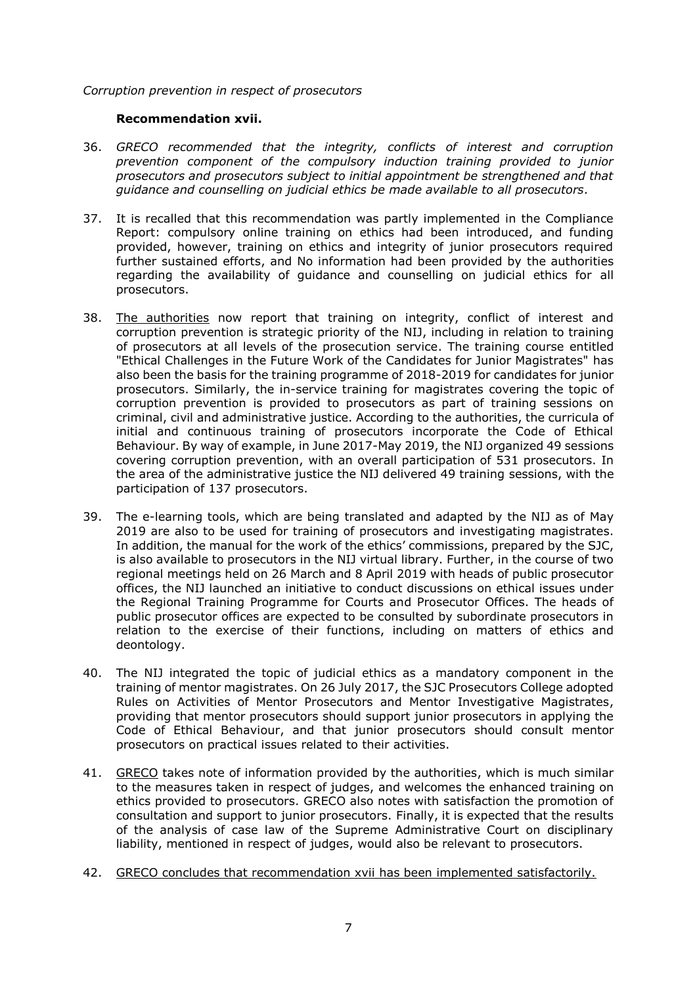#### *Corruption prevention in respect of prosecutors*

#### **Recommendation xvii.**

- 36. *GRECO recommended that the integrity, conflicts of interest and corruption prevention component of the compulsory induction training provided to junior prosecutors and prosecutors subject to initial appointment be strengthened and that guidance and counselling on judicial ethics be made available to all prosecutors.*
- 37. It is recalled that this recommendation was partly implemented in the Compliance Report: compulsory online training on ethics had been introduced, and funding provided, however, training on ethics and integrity of junior prosecutors required further sustained efforts, and No information had been provided by the authorities regarding the availability of guidance and counselling on judicial ethics for all prosecutors.
- 38. The authorities now report that training on integrity, conflict of interest and corruption prevention is strategic priority of the NIJ, including in relation to training of prosecutors at all levels of the prosecution service. The training course entitled "Ethical Challenges in the Future Work of the Candidates for Junior Magistrates" has also been the basis for the training programme of 2018-2019 for candidates for junior prosecutors. Similarly, the in-service training for magistrates covering the topic of corruption prevention is provided to prosecutors as part of training sessions on criminal, civil and administrative justice. According to the authorities, the curricula of initial and continuous training of prosecutors incorporate the Code of Ethical Behaviour. By way of example, in June 2017-May 2019, the NIJ organized 49 sessions covering corruption prevention, with an overall participation of 531 prosecutors. In the area of the administrative justice the NIJ delivered 49 training sessions, with the participation of 137 prosecutors.
- 39. The e-learning tools, which are being translated and adapted by the NIJ as of May 2019 are also to be used for training of prosecutors and investigating magistrates. In addition, the manual for the work of the ethics' commissions, prepared by the SJC, is also available to prosecutors in the NIJ virtual library. Further, in the course of two regional meetings held on 26 March and 8 April 2019 with heads of public prosecutor offices, the NIJ launched an initiative to conduct discussions on ethical issues under the Regional Training Programme for Courts and Prosecutor Offices. The heads of public prosecutor offices are expected to be consulted by subordinate prosecutors in relation to the exercise of their functions, including on matters of ethics and deontology.
- 40. The NIJ integrated the topic of judicial ethics as a mandatory component in the training of mentor magistrates. On 26 July 2017, the SJC Prosecutors College adopted Rules on Activities of Mentor Prosecutors and Mentor Investigative Magistrates, providing that mentor prosecutors should support junior prosecutors in applying the Code of Ethical Behaviour, and that junior prosecutors should consult mentor prosecutors on practical issues related to their activities.
- 41. GRECO takes note of information provided by the authorities, which is much similar to the measures taken in respect of judges, and welcomes the enhanced training on ethics provided to prosecutors. GRECO also notes with satisfaction the promotion of consultation and support to junior prosecutors. Finally, it is expected that the results of the analysis of case law of the Supreme Administrative Court on disciplinary liability, mentioned in respect of judges, would also be relevant to prosecutors.
- 42. GRECO concludes that recommendation xvii has been implemented satisfactorily.